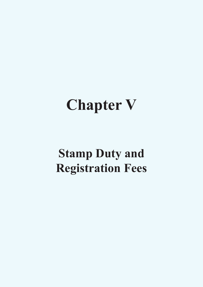# **Chapter V**

# **Stamp Duty and Registration Fees**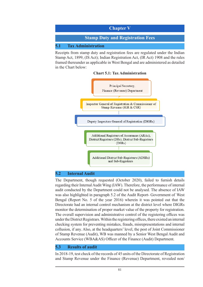

Receipts from stamp duty and registration fees are regulated under the Indian Stamp Act, 1899, (IS Act); Indian Registration Act, (IR Act) 1908 and the rules framed thereunder as applicable in West Bengal and are administered as detailed in the Chart below:

#### **Chart 5.1: Tax Administration**



#### **5.2 Internal Audit**

The Department, though requested (October 2020), failed to furnish details regarding their Internal Audit Wing (IAW). Therefore, the performance of internal audit conducted by the Department could not be analysed. The absence of IAW was also highlighted in paragraph 5.2 of the Audit Report- Government of West Bengal (Report No. 5 of the year 2016) wherein it was pointed out that the Directorate had an internal control mechanism at the district level where DIGRs monitor the determination of proper market value of the property for registration. The overall supervision and administrative control of the registering offices was under the District Registrars. Within the registering offices, there existed an internal checking system for preventing mistakes, frauds, misrepresentations and internal collusion, if any. Also, at the headquarters' level, the post of Joint Commissioner of Stamp Revenue (Audit), WB was manned by a Senior West Bengal Audit and Accounts Service (WBA&AS) Officer of the Finance (Audit) Department.

#### **5.3 Results of audit**

In 2018-19, test check of the records of 45 units of the Directorate of Registration and Stamp Revenue under the Finance (Revenue) Department, revealed non/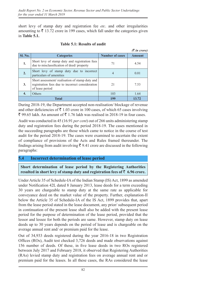short levy of stamp duty and registration fee *etc*. and other irregularities amounting to  $\bar{\tau}$  13.72 crore in 199 cases, which fall under the categories given in **Table 5.1.**

|                  |                                                                                                                       |                        | $(3 \nvert n \text{ core})$ |
|------------------|-----------------------------------------------------------------------------------------------------------------------|------------------------|-----------------------------|
| <b>Sl. No.</b>   | <b>Categories</b>                                                                                                     | <b>Number of cases</b> | Amount                      |
| 1.               | Short levy of stamp duty and registration fees<br>due to misclassification of deed/ property                          | 71                     | 4.54                        |
| $\overline{2}$ . | Short levy of stamp duty due to incorrect<br>particulars of amenities                                                 |                        | 0.01                        |
| 3.               | Short assessment/realisation of stamp duty and<br>registration fees due to incorrect consideration<br>of lease period | 21                     | 7.53                        |
|                  | <b>Others</b>                                                                                                         | 103                    | 1.64                        |
|                  | Total                                                                                                                 | 199                    | 13.72                       |

#### **Table 5.1: Results of audit**

During 2018-19, the Department accepted non-realisation/ blockage of revenue and other deficiencies of  $\bar{\tau}$  1.03 crore in 100 cases, of which 65 cases involving  $\bar{\xi}$  99.65 lakh. An amount of  $\bar{\xi}$  1.76 lakh was realised in 2018-19 in four cases.

Audit was conducted in 45 (16.91 *per cent*) out of 266 units administering stamp duty and registration fees during the period 2018-19. The cases mentioned in the succeeding paragraphs are those which came to notice in the course of test audit for the period 2018-19. The cases were examined to ascertain the extent of compliance of provisions of the Acts and Rules framed thereunder. The findings arising from audit involving  $\bar{\tau}$  9.41 crore are discussed in the following paragraphs:

#### **5.4 Incorrect determination of lease period**

**Short determination of lease period by the Registering Authorities**  resulted in short levy of stamp duty and registration fees of  $\bar{z}$  6.96 crore.

Under Article 35 of Schedule-IA of the Indian Stamp (IS) Act, 1899 as amended under Notification 42L dated 8 January 2013, lease deeds for a term exceeding 30 years are chargeable to stamp duty at the same rate as applicable for conveyance deed on the market value of the property. Further, explanation-II below the Article 35 of Schedule-IA of the IS Act, 1899 provides that, apart from the lease period stated in the lease document, any prior/ subsequent period in continuation of the present lease shall also be added with the present lease period for the purpose of determination of the lease period, provided that the lessor and lessee for both the periods are same. However, stamp duty on lease deeds up to 30 years depends on the period of lease and is chargeable on the average annual rent and/ or premium paid for the lease.

Out of 34,933 deeds registered during the year 2016-18 in two Registration Offices (ROs), Audit test checked 3,726 deeds and made observations against 156 number of deeds. Of these, in five lease deeds in two ROs registered between July 2017 and February 2018, it observed that Registering Authorities (RAs) levied stamp duty and registration fees on average annual rent and or premium paid for the leases. In all these cases, the RAs considered the lease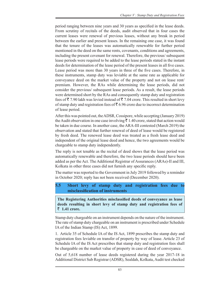period ranging between nine years and 30 years as specified in the lease deeds. From scrutiny of recitals of the deeds, audit observed that in four cases the current leases were renewal of previous leases, without any break in period between the earlier and present leases. In the remaining one case, it was found that the tenure of the leases was automatically renewable for further period mentioned in the deed on the same rents, covenants, conditions and agreements, including the present covenant for renewal. Therefore, the previous/ subsequent lease periods were required to be added to the lease periods stated in the instant deeds for determination of the lease period of the present leases in all five cases. Lease period was more than 30 years in three of the five cases. Therefore, in these instruments, stamp duty was leviable at the same rate as applicable for conveyance deed on the market value of the property and not on lease rent/ premium. However, the RAs while determining the lease periods, did not consider the previous/ subsequent lease periods. As a result, the lease periods were determined short by the RAs and consequently stamp duty and registration fees of  $\bar{\tau}$  7.90 lakh was levied instead of  $\bar{\tau}$  7.04 crore. This resulted in short levy of stamp duty and registration fees of  $\bar{\tau}$  6.96 crore due to incorrect determination of lease period.

After this was pointed out, the ADSR, Cossipore, while accepting (January 2019) the Audit observation in one case involving  $\bar{\tau}$  1.40 crore, stated that action would be taken in due course. In another case, the ARA-III contested (March 2019) the observation and stated that further renewal of deed of lease would be registered by fresh deed. The renewed lease deed was treated as a fresh lease deed and independent of the original lease deed and hence, the two agreements would be chargeable to stamp duty independently.

The reply is not tenable as the recital of deed shows that the lease period was automatically renewable and therefore, the two lease periods should have been added as per the Act. The Additional Registrar of Assurances (ARAs)-II and III, Kolkata in other three cases did not furnish any specific reply.

The matter was reported to the Government in July 2019 followed by a reminder in October 2020; reply has not been received (December 2020).

## **5.5 Short levy of stamp duty and registration fees due to misclassification of instruments**

**The Registering Authorities misclassified deeds of conveyance as lease deeds resulting in short levy of stamp duty and registration fees of**  ` **1.41 crore.**

Stamp duty chargeable on an instrument depends on the nature of the instrument. The rate of stamp duty chargeable on an instrument is prescribed under Schedule IA of the Indian Stamp (IS) Act, 1899.

1. Article 35 of Schedule IA of the IS Act, 1899 prescribes the stamp duty and registration fees leviable on transfer of property by way of lease. Article 23 of Schedule IA of the IS Act prescribes that stamp duty and registration fees shall be chargeable on the market value of property in case of deed of conveyance.

Out of 5,618 number of lease deeds registered during the year 2017-18 in Additional District Sub Registrar (ADSR), Sealdah, Kolkata, Audit test checked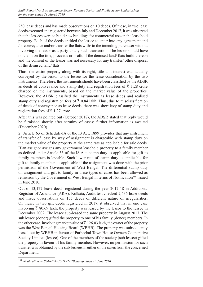250 lease deeds and has made observations on 10 deeds. Of these, in two lease deeds executed and registered between July and December 2017, it was observed that the lessees were to build new buildings for commercial use on the leasehold property. Each of the deeds entitled the lessee to enter into any agreement and /or conveyance and/or transfer the flats with/ to the intending purchaser without involving the lessor as a party to any such transaction. The lessor should have no claim on the title, proceeds or profit of the demised land/ flats build thereon and the consent of the lessor was not necessary for any transfer/ other disposal of the demised land/ flats.

Thus, the entire property along with its right, title and interest was actually conveyed by the lessor to the lessee for the lease consideration by the two instruments. Therefore, the instruments should have been classified by the ADSR as deeds of conveyance and stamp duty and registration fees of  $\bar{\tau}$  1.28 crore charged on the instruments, based on the market value of the properties. However, the ADSR classified the instruments as lease deeds and realised stamp duty and registration fees of  $\bar{\tau}$  0.84 lakh. Thus, due to misclassification of deeds of conveyance as lease deeds, there was short levy of stamp duty and registration fees of  $\bar{z}$  1.27 crore.

After this was pointed out (October 2018), the ADSR stated that reply would be furnished shortly after scrutiny of cases; further information is awaited (December 2020).

2. Article 63 of Schedule-IA of the IS Act, 1899 provides that any instrument of transfer of lease by way of assignment is chargeable with stamp duty on the market value of the property at the same rate as applicable for sale deeds. If an assignor assigns any government leasehold property to a family member as defined under Article 33 of the IS Act, stamp duty as applicable for gift to family members is leviable. Such lower rate of stamp duty as applicable for gift to family members is applicable if the assignment was done with the prior permission of the Government of West Bengal. The differential stamp duty on assignment and gift to family in these types of cases has been allowed as remission by the Government of West Bengal in terms of Notification<sup>139</sup> issued in June 2010.

Out of 13,177 lease deeds registered during the year 2017-18 in Additional Registrar of Assurance (ARA), Kolkata, Audit test checked 2,636 lease deeds and made observations on 155 deeds of different nature of irregularities. Of these, in two gift deeds registered in 2017, it observed that in one case involving  $\bar{\xi}$  80.69 lakh, the property was leased by the lessor to the lessee in December 2002. The lessee sub-leased the same property in August 2017. The sub lessee (donor) gifted the property to one of his family (donee) members. In the other case, involving market value of  $\bar{\tau}$  126.03 lakh, the owner of the property was the West Bengal Housing Board (WBHB). The property was subsequently leased out by WBHB in favour of Purbachal Town House Owners Cooperative Society Limited (lessee). One of the members of the society (sub lessee) gifted the property in favour of his family member. However, no permission for such transfer was obtained by the sub-lessees in either of the cases from the concerned Department.

<sup>139</sup> *Notification no.884-FT/FT/0/2E-22/10 Stamp dated 15 June 2010.*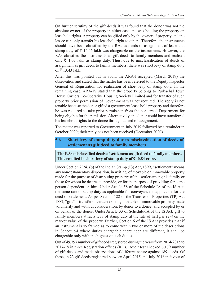On further scrutiny of the gift deeds it was found that the donor was not the absolute owner of the property in either case and was holding the property on leasehold rights. A property can be gifted only by the owner of property and the lessee can only transfer his leasehold right to others. Therefore, the instruments should have been classified by the RAs as deeds of assignment of lease and stamp duty of  $\bar{\tau}$  14.46 lakh was chargeable on the instruments. However, the RAs classified the instruments as gift deeds to family members and realised only  $\bar{\tau}$  1.03 lakh as stamp duty. Thus, due to misclassification of deeds of assignment as gift deeds to family members, there was short levy of stamp duty of ₹ 13.43 lakh.

After this was pointed out in audit, the ARA-I accepted (March 2019) the observation and stated that the matter has been referred to the Deputy Inspector General of Registration for realisation of short levy of stamp duty. In the remaining case, ARA-IV stated that the property belongs to Purbachal Town House Owners Co-Operative Housing Society Limited and for transfer of such property prior permission of Government was not required. The reply is not tenable because the donor gifted a government lease hold property and therefore he was required to take prior permission from the concerned Department for being eligible for the remission. Alternatively, the donor could have transferred his leasehold rights to the donee through a deed of assignment.

The matter was reported to Government in July 2019 followed by a reminder in October 2020; their reply has not been received (December 2020).

## **5.6 Short levy of stamp duty due to misclassification of deeds of settlement as gift deed to family members**

**The RAs misclassified deeds of settlement as gift deed to family members.**  This resulted in short levy of stamp duty of  $\bar{z}$  0.84 crore.

Under Section 2(24) (b) of the Indian Stamp (IS) Act, 1899, "settlement" means any non-testamentary disposition, in writing, of movable or immovable property made for the purpose of distributing property of the settler among his family or those for whom he desires to provide, or for the purpose of providing for some person dependent on him. Under Article 58 of the Schedule-IA of the IS Act, the same rate of stamp duty as applicable for conveyance is applicable for the deed of settlement. As per Section 122 of the Transfer of Properties (TP) Act 1882, "gift" is transfer of certain existing movable or immovable property made voluntarily and without consideration, by donor to a donee, and accepted by or on behalf of the donee. Under Article 33 of Schedule-IA of the IS Act, gift to family members attracts levy of stamp duty at the rate of half *per cent* on the market value of the property. Further, Section 6 of the IS Act provides that if an instrument is so framed as to come within two or more of the descriptions in Schedule-I where duties chargeable thereunder are different, it shall be chargeable only with the highest of such duties.

Out of 49,797 number of gift deeds registered during the years from 2014-2015 to 2017-18 in three Registration offices (ROs), Audit test checked 6,179 number of gift deeds and made observations of different nature against 189 deeds. Of these, in 23 gift deeds registered between April 2015 and July 2018 in favour of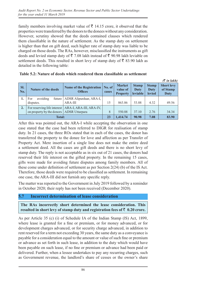family members involving market value of  $\bar{\tau}$  14.15 crore, it observed that the properties were transferred by the donors to the donees without any consideration. However, scrutiny showed that the deeds contained clauses which rendered them classifiable in the nature of settlement. As the stamp duty on settlement is higher than that on gift deed, such higher rate of stamp duty was liable to be charged on those deeds. The RAs, however, misclassified the instruments as gift deeds and levied stamp duty of  $\bar{\tau}$  7.08 lakh instead of  $\bar{\tau}$  90.98 lakh leviable on settlement deeds. This resulted in short levy of stamp duty of  $\bar{\tau}$  83.90 lakh as detailed in the following table:

|                  |                                            |                                                       |                 |                                              |                                  |                                       | $($ \overline{\zeta} in lakh)         |
|------------------|--------------------------------------------|-------------------------------------------------------|-----------------|----------------------------------------------|----------------------------------|---------------------------------------|---------------------------------------|
| SI.<br>No.       | <b>Nature of the deeds</b>                 | <b>Name of the Registration</b><br><b>Offices</b>     | No. of<br>cases | <b>Market</b><br>value of<br><b>Property</b> | <b>Stamp</b><br>Duty<br>leviable | <b>Stamp</b><br>Duty<br><b>levied</b> | <b>Short levy</b><br>of Stamp<br>Duty |
|                  | avoiding<br>For<br>future  <br>disputes.   | ADSR Alipurduar, ARA-I,<br>$ARA-III$                  | 15              | 863.86                                       | 53.88                            | 4.32                                  | 49.56                                 |
| $\overline{2}$ . | on property by the donors   ADSR Uttarpara | For reserving life interest   ARA-I, ARA-III, ARA-IV, | 8               | 550.88                                       | 37.10                            | 2.76                                  | 34.34                                 |
| <b>Total:</b>    |                                            |                                                       | 23              | 1,414.74                                     | 90.98                            | 7.08                                  | 83.90                                 |

| Table 5.2: Nature of deeds which rendered them classifiable as settlement |
|---------------------------------------------------------------------------|
|                                                                           |

After this was pointed out, the ARA-I while accepting the observation in one case stated that the case had been referred to DIGR for realisation of stamp duty. In 21 cases, the three ROs stated that in each of the cases, the donor has transferred the property to the donee for love and affection as per Transfer of Property Act. Mere insertion of a single line does not make the entire deed a settlement deed. All the cases are gift deeds and there is no short levy of stamp duty. The reply is not acceptable as in six out of 21 cases, the donors had reserved their life interest on the gifted property. In the remaining 15 cases, gifts were made for avoiding future disputes among family members. All of these come under definition of settlement as per Section 2(24) (b) of the IS Act. Therefore, those deeds were required to be classified as settlement. In remaining one case, the ARA-III did not furnish any specific reply.

The matter was reported to the Government in July 2019 followed by a reminder in October 2020; their reply has not been received (December 2020).

#### **5.7 Incorrect determination of lease consideration**

**The RAs incorrectly short determined the lease consideration. This**  resulted in short levy of stamp duty and registration fees of  $\bar{z}$  0.20 crore.

As per Article 35 (c) (i) of Schedule IA of the Indian Stamp (lS) Act, 1899, where lease is granted for a fine or premium, or for money advanced, or for development charges advanced, or for security charge advanced, in addition to rent reserved for a term not exceeding 30 years, the same duty as a conveyance is payable for a consideration equal to the amount or value of such fine or premium or advance as set forth in such lease, in addition to the duty which would have been payable on such lease, if no fine or premium or advance had been paid or delivered. Further, when a lessee undertakes to pay any recurring charges, such as Government revenue, the landlord's share of cesses or the owner's share